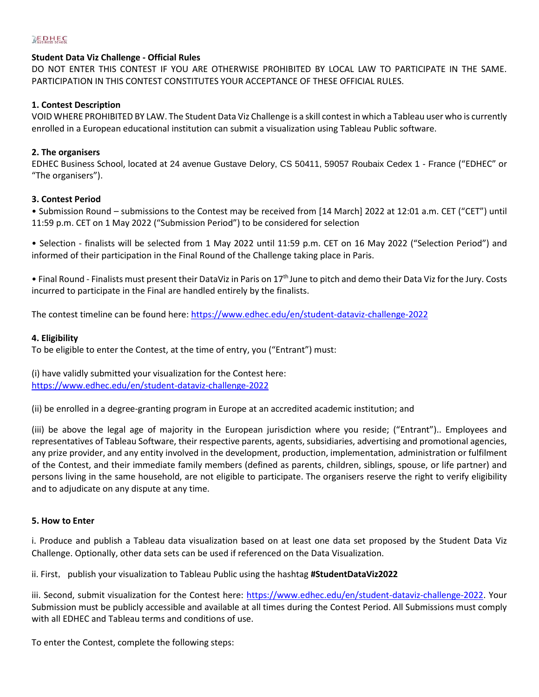### $\mathbb{R}$  EDHEC

#### **Student Data Viz Challenge - Official Rules**

DO NOT ENTER THIS CONTEST IF YOU ARE OTHERWISE PROHIBITED BY LOCAL LAW TO PARTICIPATE IN THE SAME. PARTICIPATION IN THIS CONTEST CONSTITUTES YOUR ACCEPTANCE OF THESE OFFICIAL RULES.

#### **1. Contest Description**

VOID WHERE PROHIBITED BY LAW. The Student Data Viz Challenge is a skill contest in which a Tableau user who is currently enrolled in a European educational institution can submit a visualization using Tableau Public software.

#### **2. The organisers**

EDHEC Business School, located at 24 avenue Gustave Delory, CS 50411, 59057 Roubaix Cedex 1 - France ("EDHEC" or "The organisers").

#### **3. Contest Period**

• Submission Round – submissions to the Contest may be received from [14 March] 2022 at 12:01 a.m. CET ("CET") until 11:59 p.m. CET on 1 May 2022 ("Submission Period") to be considered for selection

• Selection - finalists will be selected from 1 May 2022 until 11:59 p.m. CET on 16 May 2022 ("Selection Period") and informed of their participation in the Final Round of the Challenge taking place in Paris.

• Final Round - Finalists must present their DataViz in Paris on 17<sup>th</sup> June to pitch and demo their Data Viz for the Jury. Costs incurred to participate in the Final are handled entirely by the finalists.

The contest timeline can be found here:<https://www.edhec.edu/en/student-dataviz-challenge-2022>

#### **4. Eligibility**

To be eligible to enter the Contest, at the time of entry, you ("Entrant") must:

(i) have validly submitted your visualization for the Contest here: <https://www.edhec.edu/en/student-dataviz-challenge-2022>

(ii) be enrolled in a degree-granting program in Europe at an accredited academic institution; and

(iii) be above the legal age of majority in the European jurisdiction where you reside; ("Entrant").. Employees and representatives of Tableau Software, their respective parents, agents, subsidiaries, advertising and promotional agencies, any prize provider, and any entity involved in the development, production, implementation, administration or fulfilment of the Contest, and their immediate family members (defined as parents, children, siblings, spouse, or life partner) and persons living in the same household, are not eligible to participate. The organisers reserve the right to verify eligibility and to adjudicate on any dispute at any time.

#### **5. How to Enter**

i. Produce and publish a Tableau data visualization based on at least one data set proposed by the Student Data Viz Challenge. Optionally, other data sets can be used if referenced on the Data Visualization.

ii. First, publish your visualization to Tableau Public using the hashtag **#StudentDataViz2022**

iii. Second, submit visualization for the Contest here: [https://www.edhec.edu/en/student-dataviz-challenge-2022.](https://www.edhec.edu/en/student-dataviz-challenge-2022) Your Submission must be publicly accessible and available at all times during the Contest Period. All Submissions must comply with all EDHEC and Tableau terms and conditions of use.

To enter the Contest, complete the following steps: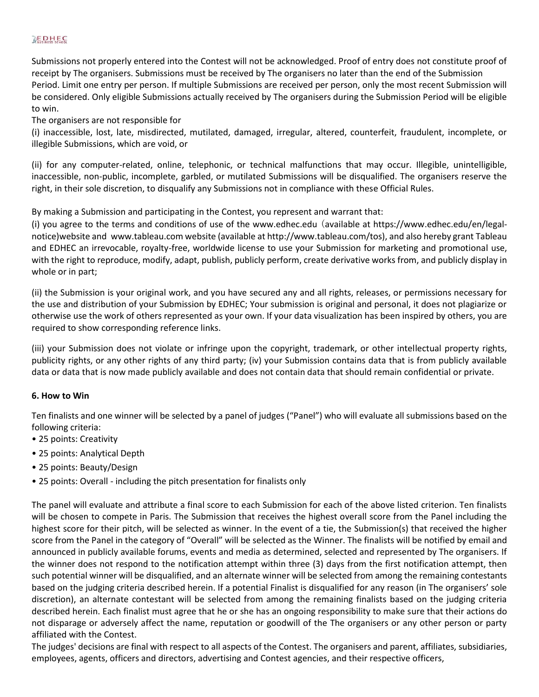## $\mathbb{R}$  EDHEC

Submissions not properly entered into the Contest will not be acknowledged. Proof of entry does not constitute proof of receipt by The organisers. Submissions must be received by The organisers no later than the end of the Submission Period. Limit one entry per person. If multiple Submissions are received per person, only the most recent Submission will be considered. Only eligible Submissions actually received by The organisers during the Submission Period will be eligible to win.

The organisers are not responsible for

(i) inaccessible, lost, late, misdirected, mutilated, damaged, irregular, altered, counterfeit, fraudulent, incomplete, or illegible Submissions, which are void, or

(ii) for any computer-related, online, telephonic, or technical malfunctions that may occur. Illegible, unintelligible, inaccessible, non-public, incomplete, garbled, or mutilated Submissions will be disqualified. The organisers reserve the right, in their sole discretion, to disqualify any Submissions not in compliance with these Official Rules.

By making a Submission and participating in the Contest, you represent and warrant that:

(i) you agree to the terms and conditions of use of the www.edhec.edu (available at https://www.edhec.edu/en/legalnotice)website and www.tableau.com website (available at http://www.tableau.com/tos), and also hereby grant Tableau and EDHEC an irrevocable, royalty-free, worldwide license to use your Submission for marketing and promotional use, with the right to reproduce, modify, adapt, publish, publicly perform, create derivative works from, and publicly display in whole or in part;

(ii) the Submission is your original work, and you have secured any and all rights, releases, or permissions necessary for the use and distribution of your Submission by EDHEC; Your submission is original and personal, it does not plagiarize or otherwise use the work of others represented as your own. If your data visualization has been inspired by others, you are required to show corresponding reference links.

(iii) your Submission does not violate or infringe upon the copyright, trademark, or other intellectual property rights, publicity rights, or any other rights of any third party; (iv) your Submission contains data that is from publicly available data or data that is now made publicly available and does not contain data that should remain confidential or private.

### **6. How to Win**

Ten finalists and one winner will be selected by a panel of judges ("Panel") who will evaluate all submissions based on the following criteria:

- 25 points: Creativity
- 25 points: Analytical Depth
- 25 points: Beauty/Design
- 25 points: Overall including the pitch presentation for finalists only

The panel will evaluate and attribute a final score to each Submission for each of the above listed criterion. Ten finalists will be chosen to compete in Paris. The Submission that receives the highest overall score from the Panel including the highest score for their pitch, will be selected as winner. In the event of a tie, the Submission(s) that received the higher score from the Panel in the category of "Overall" will be selected as the Winner. The finalists will be notified by email and announced in publicly available forums, events and media as determined, selected and represented by The organisers. If the winner does not respond to the notification attempt within three (3) days from the first notification attempt, then such potential winner will be disqualified, and an alternate winner will be selected from among the remaining contestants based on the judging criteria described herein. If a potential Finalist is disqualified for any reason (in The organisers' sole discretion), an alternate contestant will be selected from among the remaining finalists based on the judging criteria described herein. Each finalist must agree that he or she has an ongoing responsibility to make sure that their actions do not disparage or adversely affect the name, reputation or goodwill of the The organisers or any other person or party affiliated with the Contest.

The judges' decisions are final with respect to all aspects of the Contest. The organisers and parent, affiliates, subsidiaries, employees, agents, officers and directors, advertising and Contest agencies, and their respective officers,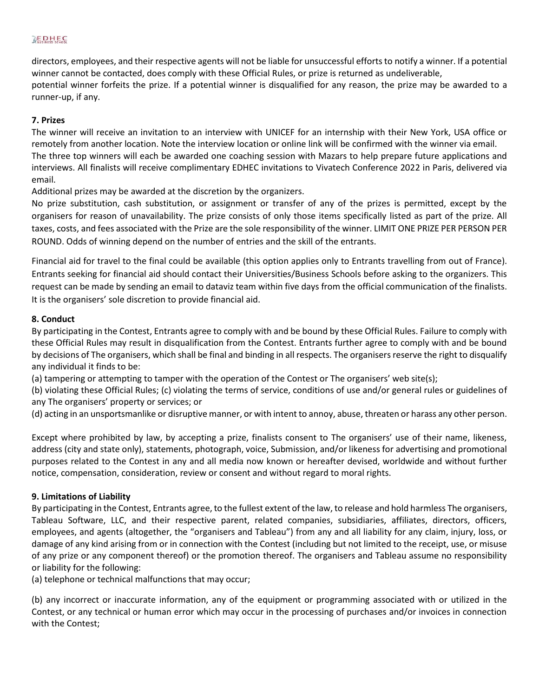## $\mathbb{R}$ **EDHEC**

directors, employees, and their respective agents will not be liable for unsuccessful efforts to notify a winner. If a potential winner cannot be contacted, does comply with these Official Rules, or prize is returned as undeliverable, potential winner forfeits the prize. If a potential winner is disqualified for any reason, the prize may be awarded to a runner-up, if any.

### **7. Prizes**

The winner will receive an invitation to an interview with UNICEF for an internship with their New York, USA office or remotely from another location. Note the interview location or online link will be confirmed with the winner via email. The three top winners will each be awarded one coaching session with Mazars to help prepare future applications and interviews. All finalists will receive complimentary EDHEC invitations to Vivatech Conference 2022 in Paris, delivered via email.

Additional prizes may be awarded at the discretion by the organizers.

No prize substitution, cash substitution, or assignment or transfer of any of the prizes is permitted, except by the organisers for reason of unavailability. The prize consists of only those items specifically listed as part of the prize. All taxes, costs, and fees associated with the Prize are the sole responsibility of the winner. LIMIT ONE PRIZE PER PERSON PER ROUND. Odds of winning depend on the number of entries and the skill of the entrants.

Financial aid for travel to the final could be available (this option applies only to Entrants travelling from out of France). Entrants seeking for financial aid should contact their Universities/Business Schools before asking to the organizers. This request can be made by sending an email to dataviz team within five days from the official communication of the finalists. It is the organisers' sole discretion to provide financial aid.

### **8. Conduct**

By participating in the Contest, Entrants agree to comply with and be bound by these Official Rules. Failure to comply with these Official Rules may result in disqualification from the Contest. Entrants further agree to comply with and be bound by decisions of The organisers, which shall be final and binding in all respects. The organisers reserve the right to disqualify any individual it finds to be:

(a) tampering or attempting to tamper with the operation of the Contest or The organisers' web site(s);

(b) violating these Official Rules; (c) violating the terms of service, conditions of use and/or general rules or guidelines of any The organisers' property or services; or

(d) acting in an unsportsmanlike or disruptive manner, or with intent to annoy, abuse, threaten or harass any other person.

Except where prohibited by law, by accepting a prize, finalists consent to The organisers' use of their name, likeness, address (city and state only), statements, photograph, voice, Submission, and/or likeness for advertising and promotional purposes related to the Contest in any and all media now known or hereafter devised, worldwide and without further notice, compensation, consideration, review or consent and without regard to moral rights.

### **9. Limitations of Liability**

By participating in the Contest, Entrants agree, to the fullest extent of the law, to release and hold harmless The organisers, Tableau Software, LLC, and their respective parent, related companies, subsidiaries, affiliates, directors, officers, employees, and agents (altogether, the "organisers and Tableau") from any and all liability for any claim, injury, loss, or damage of any kind arising from or in connection with the Contest (including but not limited to the receipt, use, or misuse of any prize or any component thereof) or the promotion thereof. The organisers and Tableau assume no responsibility or liability for the following:

(a) telephone or technical malfunctions that may occur;

(b) any incorrect or inaccurate information, any of the equipment or programming associated with or utilized in the Contest, or any technical or human error which may occur in the processing of purchases and/or invoices in connection with the Contest;